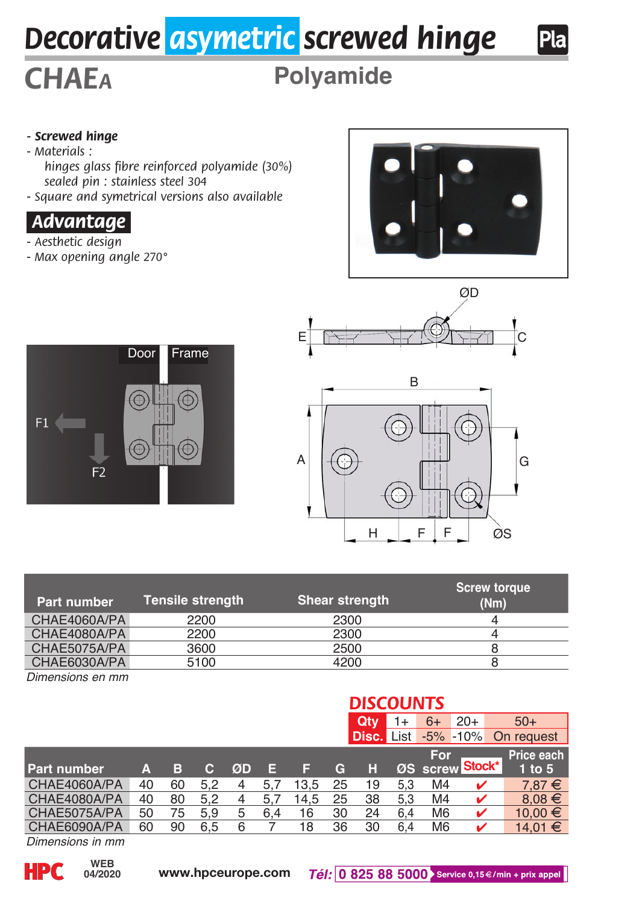# *Decorative asymetric screwed hinge*



# **Polyamide**

### *- Screwed hinge*

- *Materials :*
	- *hinges glass fibre reinforced polyamide (30%) sealed pin : stainless steel 304*
- *Square and symetrical versions also available*

## *.Advantage.*

- *Aesthetic design*
- *Max opening angle 270°*



Pla







| Part number  | <b>Tensile strenath</b> | <b>Shear strength</b> | <b>Screw torque</b><br>(Nm) |
|--------------|-------------------------|-----------------------|-----------------------------|
| CHAE4060A/PA | 2200                    | 2300                  |                             |
| CHAE4080A/PA | 2200                    | 2300                  |                             |
| CHAE5075A/PA | 3600                    | 2500                  |                             |
| CHAE6030A/PA | 5100                    | 4200                  |                             |

*Dimensions en mm*

#### **DISCOUNTS**<br>**Qty** 1+ 6+ **Qty** 1+ 6+ 20+ 50+<br>**Disc.** List -5% -10% On requ **Disc.** -5% -10% On request<br>Eor Price eacl **For Price each**<br>**Stock<sup>\*</sup> 1 to 5 Part number A B C ØD E F G H ØS CHAE4060A/PA 40 60 5.2 4 5.7 13.5 25 19 5.3** CHAE4060A/PA 40 60 5,2 4 5,7 13,5 25 19 5,3 M4  $\checkmark$  7,87 €<br>CHAE4080A/PA 40 80 5,2 4 5,7 14,5 25 38 5,3 M4  $\checkmark$  8,08 € 1AE4080A/PA 40 80 5,2 4 5,7 14,5 25 38 5,3 M4 ✔ 8,08<br>1AE5075A/PA 50 75 5,9 5 6,4 16 30 24 6,4 M6 ✔ 10.00 THE 1999 APA 50 75 5,9 5 6,4 16 30 24 6,4 M6 4 10,00 FM 10,00 FM 10,00 FM 10,00 FM 10,00 FM 10,00 FM 10,00 FM 10,00 FM 10,00 FM 10,00 FM 10,00 FM 10,00 FM 10,00 FM 10,00 FM 10,00 FM 10,00 FM 10,00 FM 10,00 FM 10,00 FM 10,0 CHAE6090A/PA **Stock\***

*Dimensions in mm*

**04/2020**